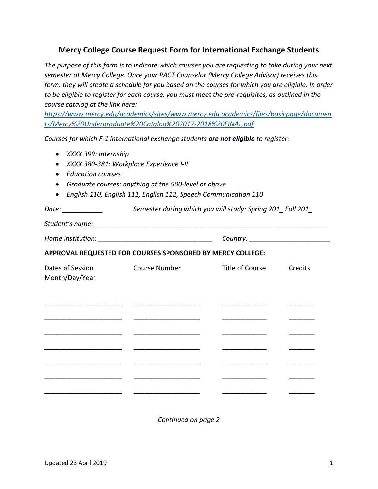## **Mercy College Course Request Form for International Exchange Students**

*The purpose of this form is to indicate which courses you are requesting to take during your next semester at Mercy College. Once your PACT Counselor (Mercy College Advisor) receives this form, they will create a schedule for you based on the courses for which you are eligible. In order to be eligible to register for each course, you must meet the pre-requisites, as outlined in the course catalog at the link here:* 

*[https://www.mercy.edu/academics/sites/www.mercy.edu.academics/files/basicpage/documen](https://www.mercy.edu/academics/sites/www.mercy.edu.academics/files/basicpage/documents/Mercy%20Undergraduate%20Catalog%202017-2018%20FINAL.pdf) [ts/Mercy%20Undergraduate%20Catalog%202017-2018%20FINAL.pdf.](https://www.mercy.edu/academics/sites/www.mercy.edu.academics/files/basicpage/documents/Mercy%20Undergraduate%20Catalog%202017-2018%20FINAL.pdf)* 

*Courses for which F-1 international exchange students are not eligible to register:* 

- *XXXX 399: Internship*
- *XXXX 380-381: Workplace Experience I-II*
- *Education courses*
- *Graduate courses: anything at the 500-level or above*
- *English 110, English 111, English 112, Speech Communication 110*

| Date: ____________                                         | Semester during which you will study: Spring 201_Fall 201_ |                 |         |  |
|------------------------------------------------------------|------------------------------------------------------------|-----------------|---------|--|
|                                                            |                                                            |                 |         |  |
|                                                            |                                                            |                 |         |  |
| APPROVAL REQUESTED FOR COURSES SPONSORED BY MERCY COLLEGE: |                                                            |                 |         |  |
| Month/Day/Year                                             | Dates of Session Course Number                             | Title of Course | Credits |  |
|                                                            |                                                            |                 |         |  |
|                                                            |                                                            |                 |         |  |
|                                                            |                                                            |                 |         |  |
|                                                            |                                                            |                 |         |  |
|                                                            |                                                            |                 |         |  |
|                                                            |                                                            |                 |         |  |
|                                                            |                                                            |                 |         |  |

*Continued on page 2*